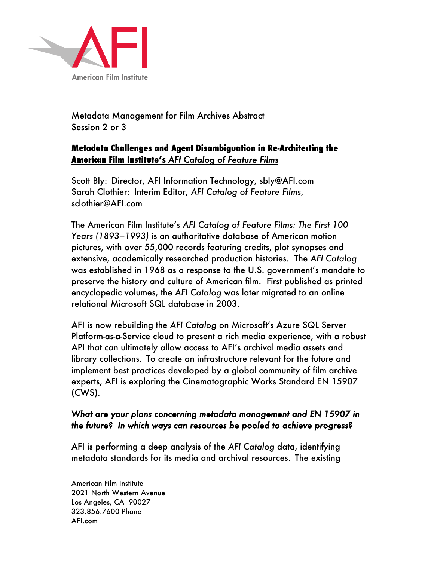

Metadata Management for Film Archives Abstract Session 2 or 3  

## **Metadata Challenges and Agent Disambiguation in Re-Architecting the American Film Institute's** *AFI Catalog of Feature Films*

Scott Bly: Director, AFI Information Technology, sbly@AFI.com Sarah Clothier: Interim Editor, *AFI Catalog of Feature Films*, sclothier@AFI.com

The American Film Institute's *AFI Catalog of Feature Films: The First 100 Years (1893–1993)* is an authoritative database of American motion pictures, with over 55,000 records featuring credits, plot synopses and extensive, academically researched production histories. The *AFI Catalog* was established in 1968 as a response to the U.S. government's mandate to preserve the history and culture of American film. First published as printed encyclopedic volumes, the *AFI Catalog* was later migrated to an online relational Microsoft SQL database in 2003.

AFI is now rebuilding the *AFI Catalog* on Microsoft's Azure SQL Server Platform-as-a-Service cloud to present a rich media experience, with a robust API that can ultimately allow access to AFI's archival media assets and library collections. To create an infrastructure relevant for the future and implement best practices developed by a global community of film archive experts, AFI is exploring the Cinematographic Works Standard EN 15907 (CWS).

## *What are your plans concerning metadata management and EN 15907 in the future? In which ways can resources be pooled to achieve progress?*

AFI is performing a deep analysis of the *AFI Catalog* data, identifying metadata standards for its media and archival resources. The existing

American Film Institute 2021 North Western Avenue Los Angeles, CA 90027 323.856.7600 Phone AFI.com